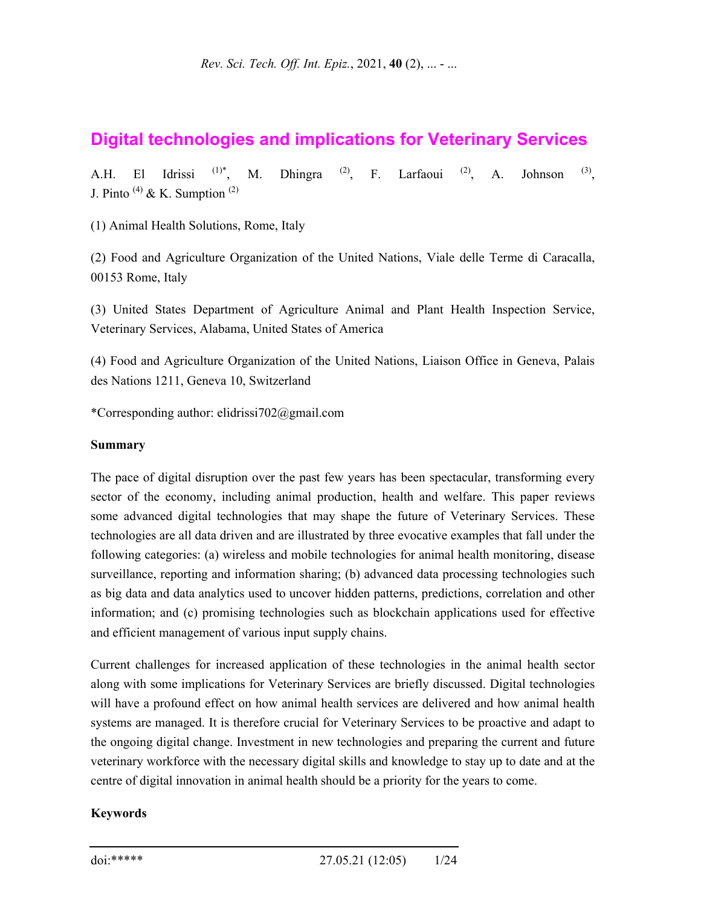# **Digital technologies and implications for Veterinary Services**

A.H. El Idrissi <sup>(1)\*</sup>, M. Dhingra <sup>(2)</sup>, F. Larfaoui <sup>(2)</sup>, A. Johnson <sup>(3)</sup>, J. Pinto  $(4)$  & K. Sumption  $(2)$ 

(1) Animal Health Solutions, Rome, Italy

(2) Food and Agriculture Organization of the United Nations, Viale delle Terme di Caracalla, 00153 Rome, Italy

(3) United States Department of Agriculture Animal and Plant Health Inspection Service, Veterinary Services, Alabama, United States of America

(4) Food and Agriculture Organization of the United Nations, Liaison Office in Geneva, Palais des Nations 1211, Geneva 10, Switzerland

\*Corresponding author: elidrissi702@gmail.com

#### **Summary**

The pace of digital disruption over the past few years has been spectacular, transforming every sector of the economy, including animal production, health and welfare. This paper reviews some advanced digital technologies that may shape the future of Veterinary Services. These technologies are all data driven and are illustrated by three evocative examples that fall under the following categories: (a) wireless and mobile technologies for animal health monitoring, disease surveillance, reporting and information sharing; (b) advanced data processing technologies such as big data and data analytics used to uncover hidden patterns, predictions, correlation and other information; and (c) promising technologies such as blockchain applications used for effective and efficient management of various input supply chains.

Current challenges for increased application of these technologies in the animal health sector along with some implications for Veterinary Services are briefly discussed. Digital technologies will have a profound effect on how animal health services are delivered and how animal health systems are managed. It is therefore crucial for Veterinary Services to be proactive and adapt to the ongoing digital change. Investment in new technologies and preparing the current and future veterinary workforce with the necessary digital skills and knowledge to stay up to date and at the centre of digital innovation in animal health should be a priority for the years to come.

#### **Keywords**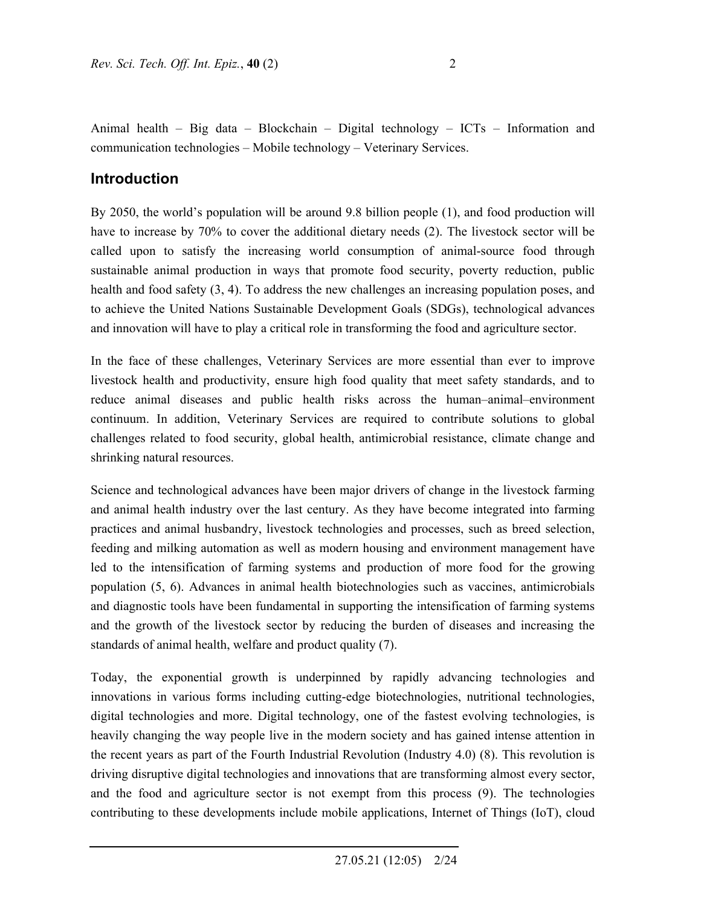Animal health – Big data – Blockchain – Digital technology – ICTs – Information and communication technologies – Mobile technology – Veterinary Services.

## **Introduction**

By 2050, the world's population will be around 9.8 billion people (1), and food production will have to increase by 70% to cover the additional dietary needs (2). The livestock sector will be called upon to satisfy the increasing world consumption of animal-source food through sustainable animal production in ways that promote food security, poverty reduction, public health and food safety (3, 4). To address the new challenges an increasing population poses, and to achieve the United Nations Sustainable Development Goals (SDGs), technological advances and innovation will have to play a critical role in transforming the food and agriculture sector.

In the face of these challenges, Veterinary Services are more essential than ever to improve livestock health and productivity, ensure high food quality that meet safety standards, and to reduce animal diseases and public health risks across the human–animal–environment continuum. In addition, Veterinary Services are required to contribute solutions to global challenges related to food security, global health, antimicrobial resistance, climate change and shrinking natural resources.

Science and technological advances have been major drivers of change in the livestock farming and animal health industry over the last century. As they have become integrated into farming practices and animal husbandry, livestock technologies and processes, such as breed selection, feeding and milking automation as well as modern housing and environment management have led to the intensification of farming systems and production of more food for the growing population (5, 6). Advances in animal health biotechnologies such as vaccines, antimicrobials and diagnostic tools have been fundamental in supporting the intensification of farming systems and the growth of the livestock sector by reducing the burden of diseases and increasing the standards of animal health, welfare and product quality (7).

Today, the exponential growth is underpinned by rapidly advancing technologies and innovations in various forms including cutting-edge biotechnologies, nutritional technologies, digital technologies and more. Digital technology, one of the fastest evolving technologies, is heavily changing the way people live in the modern society and has gained intense attention in the recent years as part of the Fourth Industrial Revolution (Industry 4.0) (8). This revolution is driving disruptive digital technologies and innovations that are transforming almost every sector, and the food and agriculture sector is not exempt from this process (9). The technologies contributing to these developments include mobile applications, Internet of Things (IoT), cloud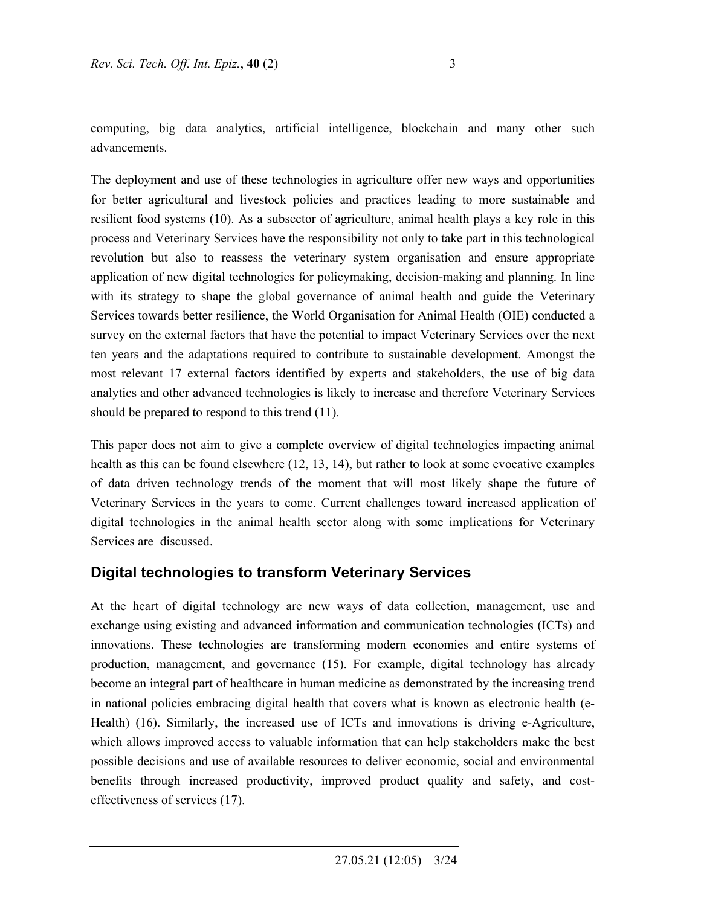computing, big data analytics, artificial intelligence, blockchain and many other such advancements.

The deployment and use of these technologies in agriculture offer new ways and opportunities for better agricultural and livestock policies and practices leading to more sustainable and resilient food systems (10). As a subsector of agriculture, animal health plays a key role in this process and Veterinary Services have the responsibility not only to take part in this technological revolution but also to reassess the veterinary system organisation and ensure appropriate application of new digital technologies for policymaking, decision-making and planning. In line with its strategy to shape the global governance of animal health and guide the Veterinary Services towards better resilience, the World Organisation for Animal Health (OIE) conducted a survey on the external factors that have the potential to impact Veterinary Services over the next ten years and the adaptations required to contribute to sustainable development. Amongst the most relevant 17 external factors identified by experts and stakeholders, the use of big data analytics and other advanced technologies is likely to increase and therefore Veterinary Services should be prepared to respond to this trend (11).

This paper does not aim to give a complete overview of digital technologies impacting animal health as this can be found elsewhere (12, 13, 14), but rather to look at some evocative examples of data driven technology trends of the moment that will most likely shape the future of Veterinary Services in the years to come. Current challenges toward increased application of digital technologies in the animal health sector along with some implications for Veterinary Services are discussed.

## **Digital technologies to transform Veterinary Services**

At the heart of digital technology are new ways of data collection, management, use and exchange using existing and advanced information and communication technologies (ICTs) and innovations. These technologies are transforming modern economies and entire systems of production, management, and governance (15). For example, digital technology has already become an integral part of healthcare in human medicine as demonstrated by the increasing trend in national policies embracing digital health that covers what is known as electronic health (e-Health) (16). Similarly, the increased use of ICTs and innovations is driving e-Agriculture, which allows improved access to valuable information that can help stakeholders make the best possible decisions and use of available resources to deliver economic, social and environmental benefits through increased productivity, improved product quality and safety, and costeffectiveness of services (17).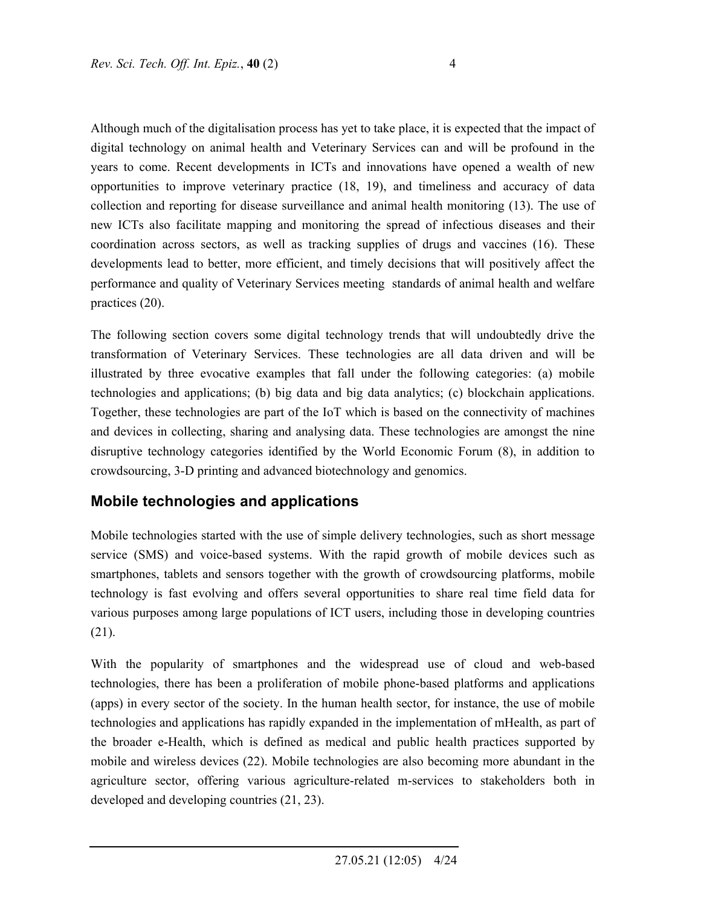Although much of the digitalisation process has yet to take place, it is expected that the impact of digital technology on animal health and Veterinary Services can and will be profound in the years to come. Recent developments in ICTs and innovations have opened a wealth of new opportunities to improve veterinary practice (18, 19), and timeliness and accuracy of data collection and reporting for disease surveillance and animal health monitoring (13). The use of new ICTs also facilitate mapping and monitoring the spread of infectious diseases and their coordination across sectors, as well as tracking supplies of drugs and vaccines (16). These developments lead to better, more efficient, and timely decisions that will positively affect the performance and quality of Veterinary Services meeting standards of animal health and welfare practices (20).

The following section covers some digital technology trends that will undoubtedly drive the transformation of Veterinary Services. These technologies are all data driven and will be illustrated by three evocative examples that fall under the following categories: (a) mobile technologies and applications; (b) big data and big data analytics; (c) blockchain applications. Together, these technologies are part of the IoT which is based on the connectivity of machines and devices in collecting, sharing and analysing data. These technologies are amongst the nine disruptive technology categories identified by the World Economic Forum (8), in addition to crowdsourcing, 3-D printing and advanced biotechnology and genomics.

# **Mobile technologies and applications**

Mobile technologies started with the use of simple delivery technologies, such as short message service (SMS) and voice-based systems. With the rapid growth of mobile devices such as smartphones, tablets and sensors together with the growth of crowdsourcing platforms, mobile technology is fast evolving and offers several opportunities to share real time field data for various purposes among large populations of ICT users, including those in developing countries (21).

With the popularity of smartphones and the widespread use of cloud and web-based technologies, there has been a proliferation of mobile phone-based platforms and applications (apps) in every sector of the society. In the human health sector, for instance, the use of mobile technologies and applications has rapidly expanded in the implementation of mHealth, as part of the broader e-Health, which is defined as medical and public health practices supported by mobile and wireless devices (22). Mobile technologies are also becoming more abundant in the agriculture sector, offering various agriculture-related m-services to stakeholders both in developed and developing countries (21, 23).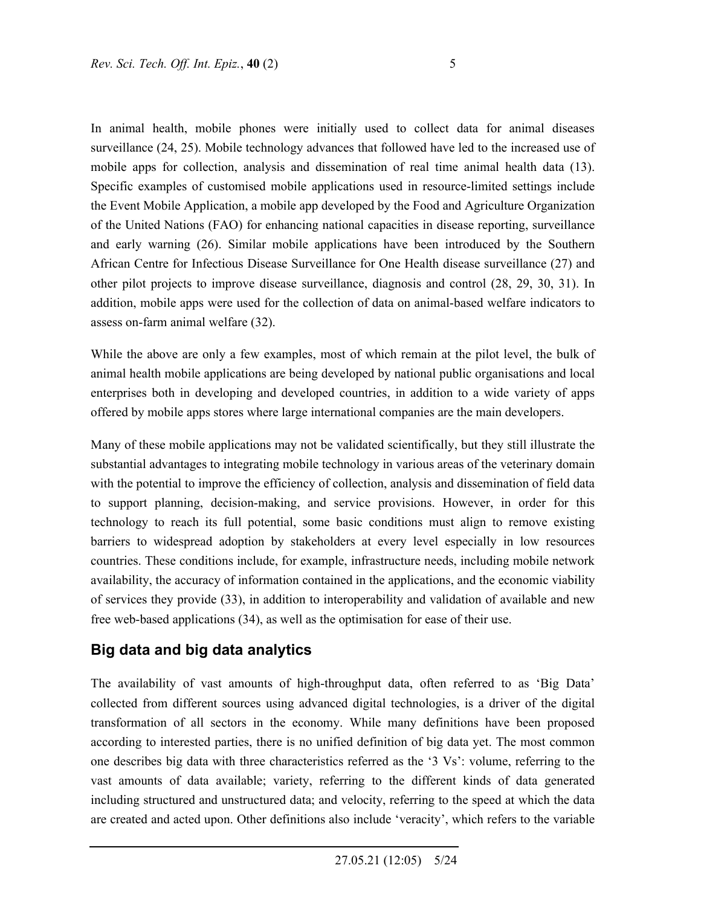In animal health, mobile phones were initially used to collect data for animal diseases surveillance (24, 25). Mobile technology advances that followed have led to the increased use of mobile apps for collection, analysis and dissemination of real time animal health data (13). Specific examples of customised mobile applications used in resource-limited settings include the Event Mobile Application, a mobile app developed by the Food and Agriculture Organization of the United Nations (FAO) for enhancing national capacities in disease reporting, surveillance and early warning (26). Similar mobile applications have been introduced by the Southern African Centre for Infectious Disease Surveillance for One Health disease surveillance (27) and other pilot projects to improve disease surveillance, diagnosis and control (28, 29, 30, 31). In addition, mobile apps were used for the collection of data on animal-based welfare indicators to assess on-farm animal welfare (32).

While the above are only a few examples, most of which remain at the pilot level, the bulk of animal health mobile applications are being developed by national public organisations and local enterprises both in developing and developed countries, in addition to a wide variety of apps offered by mobile apps stores where large international companies are the main developers.

Many of these mobile applications may not be validated scientifically, but they still illustrate the substantial advantages to integrating mobile technology in various areas of the veterinary domain with the potential to improve the efficiency of collection, analysis and dissemination of field data to support planning, decision-making, and service provisions. However, in order for this technology to reach its full potential, some basic conditions must align to remove existing barriers to widespread adoption by stakeholders at every level especially in low resources countries. These conditions include, for example, infrastructure needs, including mobile network availability, the accuracy of information contained in the applications, and the economic viability of services they provide (33), in addition to interoperability and validation of available and new free web-based applications (34), as well as the optimisation for ease of their use.

## **Big data and big data analytics**

The availability of vast amounts of high-throughput data, often referred to as 'Big Data' collected from different sources using advanced digital technologies, is a driver of the digital transformation of all sectors in the economy. While many definitions have been proposed according to interested parties, there is no unified definition of big data yet. The most common one describes big data with three characteristics referred as the '3 Vs': volume, referring to the vast amounts of data available; variety, referring to the different kinds of data generated including structured and unstructured data; and velocity, referring to the speed at which the data are created and acted upon. Other definitions also include 'veracity', which refers to the variable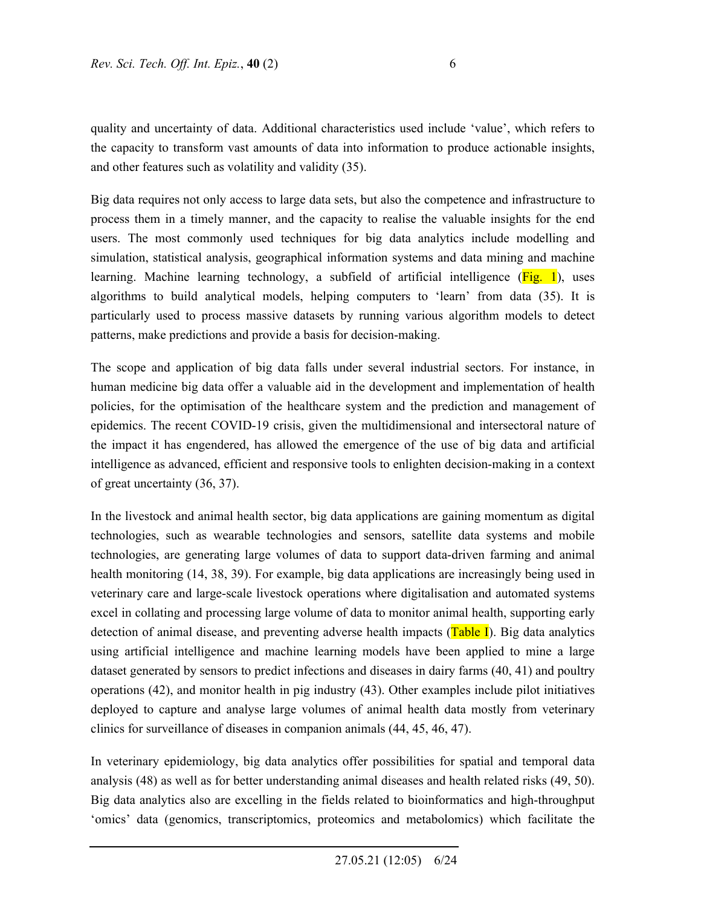quality and uncertainty of data. Additional characteristics used include 'value', which refers to the capacity to transform vast amounts of data into information to produce actionable insights, and other features such as volatility and validity (35).

Big data requires not only access to large data sets, but also the competence and infrastructure to process them in a timely manner, and the capacity to realise the valuable insights for the end users. The most commonly used techniques for big data analytics include modelling and simulation, statistical analysis, geographical information systems and data mining and machine learning. Machine learning technology, a subfield of artificial intelligence (Fig. 1), uses algorithms to build analytical models, helping computers to 'learn' from data (35). It is particularly used to process massive datasets by running various algorithm models to detect patterns, make predictions and provide a basis for decision-making.

The scope and application of big data falls under several industrial sectors. For instance, in human medicine big data offer a valuable aid in the development and implementation of health policies, for the optimisation of the healthcare system and the prediction and management of epidemics. The recent COVID-19 crisis, given the multidimensional and intersectoral nature of the impact it has engendered, has allowed the emergence of the use of big data and artificial intelligence as advanced, efficient and responsive tools to enlighten decision-making in a context of great uncertainty (36, 37).

In the livestock and animal health sector, big data applications are gaining momentum as digital technologies, such as wearable technologies and sensors, satellite data systems and mobile technologies, are generating large volumes of data to support data-driven farming and animal health monitoring (14, 38, 39). For example, big data applications are increasingly being used in veterinary care and large-scale livestock operations where digitalisation and automated systems excel in collating and processing large volume of data to monitor animal health, supporting early detection of animal disease, and preventing adverse health impacts  $(Table I)$ . Big data analytics using artificial intelligence and machine learning models have been applied to mine a large dataset generated by sensors to predict infections and diseases in dairy farms (40, 41) and poultry operations (42), and monitor health in pig industry (43). Other examples include pilot initiatives deployed to capture and analyse large volumes of animal health data mostly from veterinary clinics for surveillance of diseases in companion animals (44, 45, 46, 47).

In veterinary epidemiology, big data analytics offer possibilities for spatial and temporal data analysis (48) as well as for better understanding animal diseases and health related risks (49, 50). Big data analytics also are excelling in the fields related to bioinformatics and high-throughput 'omics' data (genomics, transcriptomics, proteomics and metabolomics) which facilitate the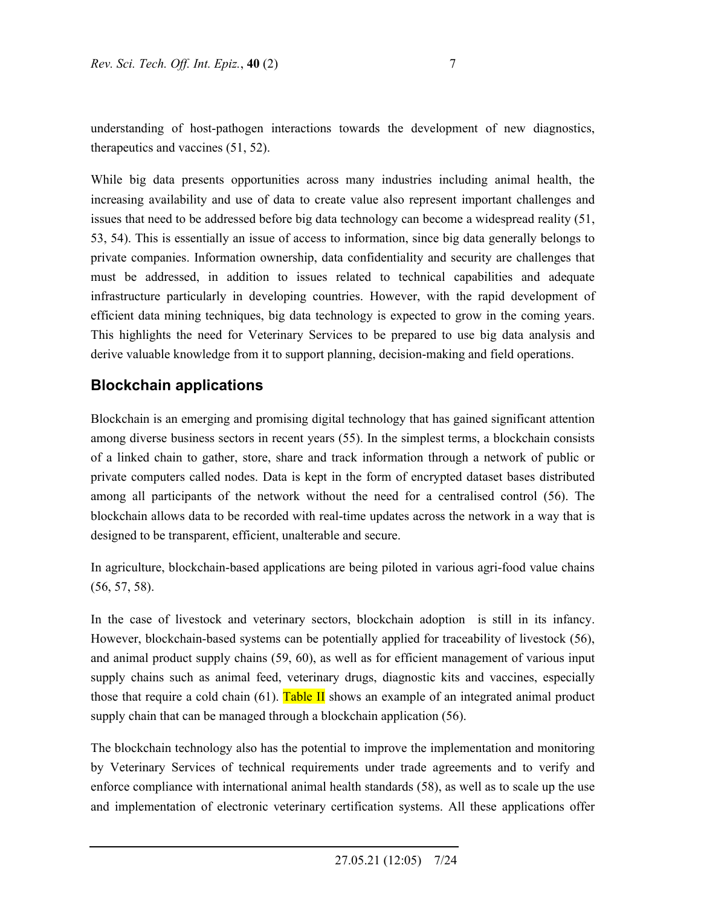understanding of host-pathogen interactions towards the development of new diagnostics, therapeutics and vaccines (51, 52).

While big data presents opportunities across many industries including animal health, the increasing availability and use of data to create value also represent important challenges and issues that need to be addressed before big data technology can become a widespread reality (51, 53, 54). This is essentially an issue of access to information, since big data generally belongs to private companies. Information ownership, data confidentiality and security are challenges that must be addressed, in addition to issues related to technical capabilities and adequate infrastructure particularly in developing countries. However, with the rapid development of efficient data mining techniques, big data technology is expected to grow in the coming years. This highlights the need for Veterinary Services to be prepared to use big data analysis and derive valuable knowledge from it to support planning, decision-making and field operations.

# **Blockchain applications**

Blockchain is an emerging and promising digital technology that has gained significant attention among diverse business sectors in recent years (55). In the simplest terms, a blockchain consists of a linked chain to gather, store, share and track information through a network of public or private computers called nodes. Data is kept in the form of encrypted dataset bases distributed among all participants of the network without the need for a centralised control (56). The blockchain allows data to be recorded with real-time updates across the network in a way that is designed to be transparent, efficient, unalterable and secure.

In agriculture, blockchain-based applications are being piloted in various agri-food value chains (56, 57, 58).

In the case of livestock and veterinary sectors, blockchain adoption is still in its infancy. However, blockchain-based systems can be potentially applied for traceability of livestock (56), and animal product supply chains (59, 60), as well as for efficient management of various input supply chains such as animal feed, veterinary drugs, diagnostic kits and vaccines, especially those that require a cold chain (61). Table II shows an example of an integrated animal product supply chain that can be managed through a blockchain application (56).

The blockchain technology also has the potential to improve the implementation and monitoring by Veterinary Services of technical requirements under trade agreements and to verify and enforce compliance with international animal health standards (58), as well as to scale up the use and implementation of electronic veterinary certification systems. All these applications offer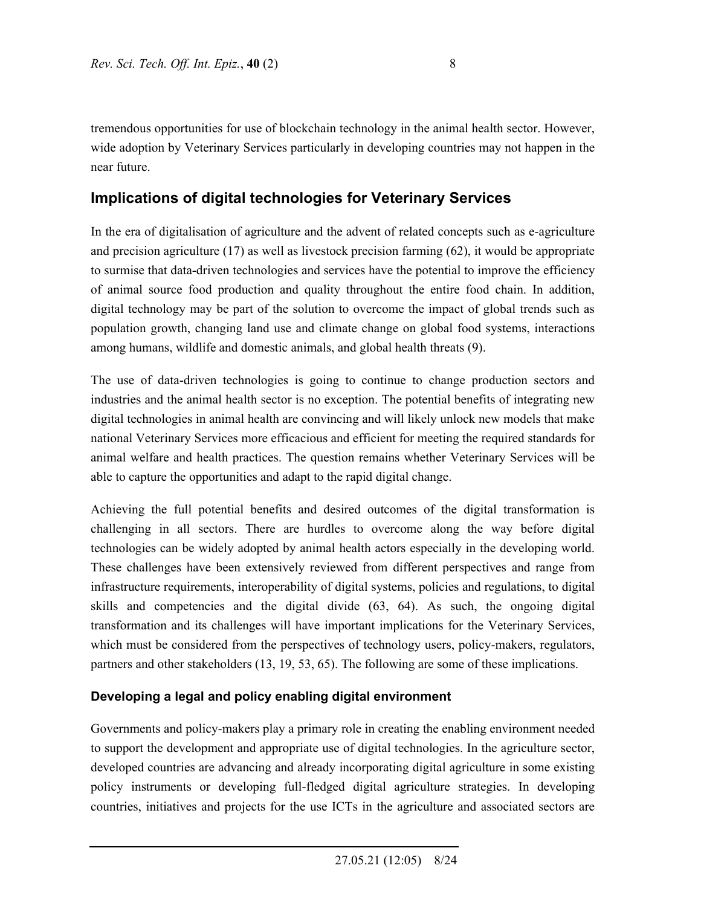tremendous opportunities for use of blockchain technology in the animal health sector. However, wide adoption by Veterinary Services particularly in developing countries may not happen in the near future.

# **Implications of digital technologies for Veterinary Services**

In the era of digitalisation of agriculture and the advent of related concepts such as e-agriculture and precision agriculture (17) as well as livestock precision farming (62), it would be appropriate to surmise that data-driven technologies and services have the potential to improve the efficiency of animal source food production and quality throughout the entire food chain. In addition, digital technology may be part of the solution to overcome the impact of global trends such as population growth, changing land use and climate change on global food systems, interactions among humans, wildlife and domestic animals, and global health threats (9).

The use of data-driven technologies is going to continue to change production sectors and industries and the animal health sector is no exception. The potential benefits of integrating new digital technologies in animal health are convincing and will likely unlock new models that make national Veterinary Services more efficacious and efficient for meeting the required standards for animal welfare and health practices. The question remains whether Veterinary Services will be able to capture the opportunities and adapt to the rapid digital change.

Achieving the full potential benefits and desired outcomes of the digital transformation is challenging in all sectors. There are hurdles to overcome along the way before digital technologies can be widely adopted by animal health actors especially in the developing world. These challenges have been extensively reviewed from different perspectives and range from infrastructure requirements, interoperability of digital systems, policies and regulations, to digital skills and competencies and the digital divide (63, 64). As such, the ongoing digital transformation and its challenges will have important implications for the Veterinary Services, which must be considered from the perspectives of technology users, policy-makers, regulators, partners and other stakeholders (13, 19, 53, 65). The following are some of these implications.

## **Developing a legal and policy enabling digital environment**

Governments and policy-makers play a primary role in creating the enabling environment needed to support the development and appropriate use of digital technologies. In the agriculture sector, developed countries are advancing and already incorporating digital agriculture in some existing policy instruments or developing full-fledged digital agriculture strategies. In developing countries, initiatives and projects for the use ICTs in the agriculture and associated sectors are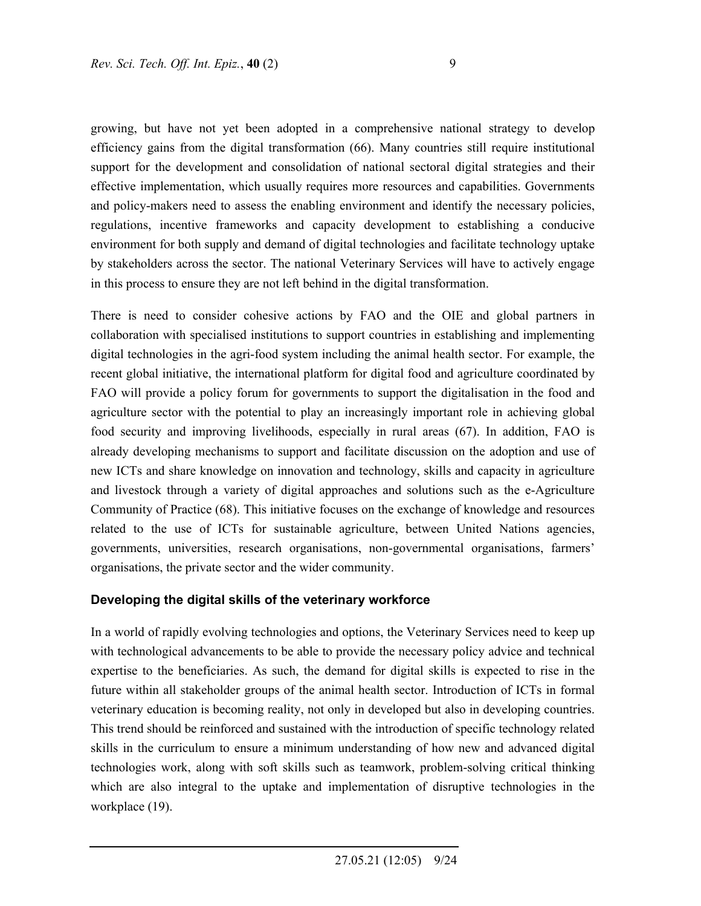growing, but have not yet been adopted in a comprehensive national strategy to develop efficiency gains from the digital transformation (66). Many countries still require institutional support for the development and consolidation of national sectoral digital strategies and their effective implementation, which usually requires more resources and capabilities. Governments and policy-makers need to assess the enabling environment and identify the necessary policies, regulations, incentive frameworks and capacity development to establishing a conducive environment for both supply and demand of digital technologies and facilitate technology uptake by stakeholders across the sector. The national Veterinary Services will have to actively engage in this process to ensure they are not left behind in the digital transformation.

There is need to consider cohesive actions by FAO and the OIE and global partners in collaboration with specialised institutions to support countries in establishing and implementing digital technologies in the agri-food system including the animal health sector. For example, the recent global initiative, the international platform for digital food and agriculture coordinated by FAO will provide a policy forum for governments to support the digitalisation in the food and agriculture sector with the potential to play an increasingly important role in achieving global food security and improving livelihoods, especially in rural areas (67). In addition, FAO is already developing mechanisms to support and facilitate discussion on the adoption and use of new ICTs and share knowledge on innovation and technology, skills and capacity in agriculture and livestock through a variety of digital approaches and solutions such as the e-Agriculture Community of Practice (68). This initiative focuses on the exchange of knowledge and resources related to the use of ICTs for sustainable agriculture, between United Nations agencies, governments, universities, research organisations, non-governmental organisations, farmers' organisations, the private sector and the wider community.

#### **Developing the digital skills of the veterinary workforce**

In a world of rapidly evolving technologies and options, the Veterinary Services need to keep up with technological advancements to be able to provide the necessary policy advice and technical expertise to the beneficiaries. As such, the demand for digital skills is expected to rise in the future within all stakeholder groups of the animal health sector. Introduction of ICTs in formal veterinary education is becoming reality, not only in developed but also in developing countries. This trend should be reinforced and sustained with the introduction of specific technology related skills in the curriculum to ensure a minimum understanding of how new and advanced digital technologies work, along with soft skills such as teamwork, problem-solving critical thinking which are also integral to the uptake and implementation of disruptive technologies in the workplace (19).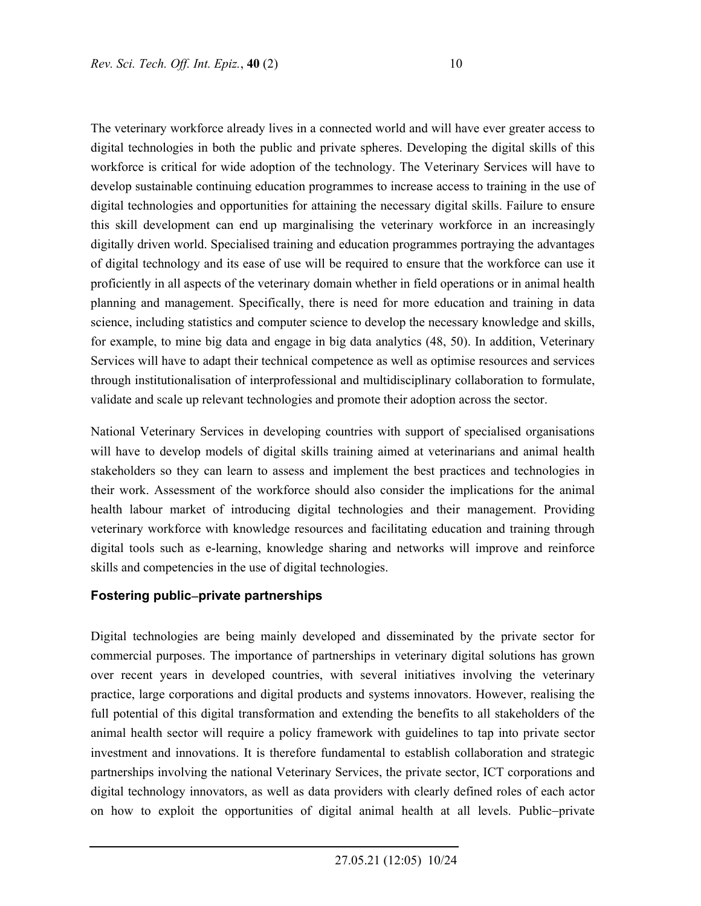The veterinary workforce already lives in a connected world and will have ever greater access to digital technologies in both the public and private spheres. Developing the digital skills of this workforce is critical for wide adoption of the technology. The Veterinary Services will have to develop sustainable continuing education programmes to increase access to training in the use of digital technologies and opportunities for attaining the necessary digital skills. Failure to ensure this skill development can end up marginalising the veterinary workforce in an increasingly digitally driven world. Specialised training and education programmes portraying the advantages of digital technology and its ease of use will be required to ensure that the workforce can use it proficiently in all aspects of the veterinary domain whether in field operations or in animal health planning and management. Specifically, there is need for more education and training in data science, including statistics and computer science to develop the necessary knowledge and skills, for example, to mine big data and engage in big data analytics (48, 50). In addition, Veterinary Services will have to adapt their technical competence as well as optimise resources and services through institutionalisation of interprofessional and multidisciplinary collaboration to formulate, validate and scale up relevant technologies and promote their adoption across the sector.

National Veterinary Services in developing countries with support of specialised organisations will have to develop models of digital skills training aimed at veterinarians and animal health stakeholders so they can learn to assess and implement the best practices and technologies in their work. Assessment of the workforce should also consider the implications for the animal health labour market of introducing digital technologies and their management. Providing veterinary workforce with knowledge resources and facilitating education and training through digital tools such as e-learning, knowledge sharing and networks will improve and reinforce skills and competencies in the use of digital technologies.

#### **Fostering publicprivate partnerships**

Digital technologies are being mainly developed and disseminated by the private sector for commercial purposes. The importance of partnerships in veterinary digital solutions has grown over recent years in developed countries, with several initiatives involving the veterinary practice, large corporations and digital products and systems innovators. However, realising the full potential of this digital transformation and extending the benefits to all stakeholders of the animal health sector will require a policy framework with guidelines to tap into private sector investment and innovations. It is therefore fundamental to establish collaboration and strategic partnerships involving the national Veterinary Services, the private sector, ICT corporations and digital technology innovators, as well as data providers with clearly defined roles of each actor on how to exploit the opportunities of digital animal health at all levels. Public-private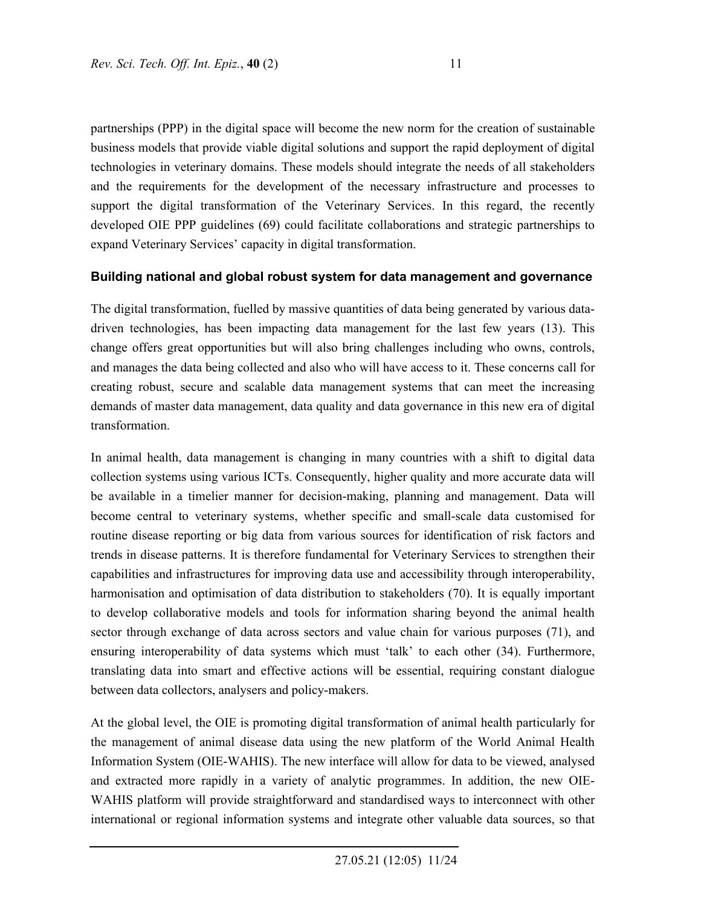partnerships (PPP) in the digital space will become the new norm for the creation of sustainable business models that provide viable digital solutions and support the rapid deployment of digital technologies in veterinary domains. These models should integrate the needs of all stakeholders and the requirements for the development of the necessary infrastructure and processes to support the digital transformation of the Veterinary Services. In this regard, the recently developed OIE PPP guidelines (69) could facilitate collaborations and strategic partnerships to expand Veterinary Services' capacity in digital transformation.

### **Building national and global robust system for data management and governance**

The digital transformation, fuelled by massive quantities of data being generated by various datadriven technologies, has been impacting data management for the last few years (13). This change offers great opportunities but will also bring challenges including who owns, controls, and manages the data being collected and also who will have access to it. These concerns call for creating robust, secure and scalable data management systems that can meet the increasing demands of master data management, data quality and data governance in this new era of digital transformation.

In animal health, data management is changing in many countries with a shift to digital data collection systems using various ICTs. Consequently, higher quality and more accurate data will be available in a timelier manner for decision-making, planning and management. Data will become central to veterinary systems, whether specific and small-scale data customised for routine disease reporting or big data from various sources for identification of risk factors and trends in disease patterns. It is therefore fundamental for Veterinary Services to strengthen their capabilities and infrastructures for improving data use and accessibility through interoperability, harmonisation and optimisation of data distribution to stakeholders (70). It is equally important to develop collaborative models and tools for information sharing beyond the animal health sector through exchange of data across sectors and value chain for various purposes (71), and ensuring interoperability of data systems which must 'talk' to each other (34). Furthermore, translating data into smart and effective actions will be essential, requiring constant dialogue between data collectors, analysers and policy-makers.

At the global level, the OIE is promoting digital transformation of animal health particularly for the management of animal disease data using the new platform of the World Animal Health Information System (OIE-WAHIS). The new interface will allow for data to be viewed, analysed and extracted more rapidly in a variety of analytic programmes. In addition, the new OIE-WAHIS platform will provide straightforward and standardised ways to interconnect with other international or regional information systems and integrate other valuable data sources, so that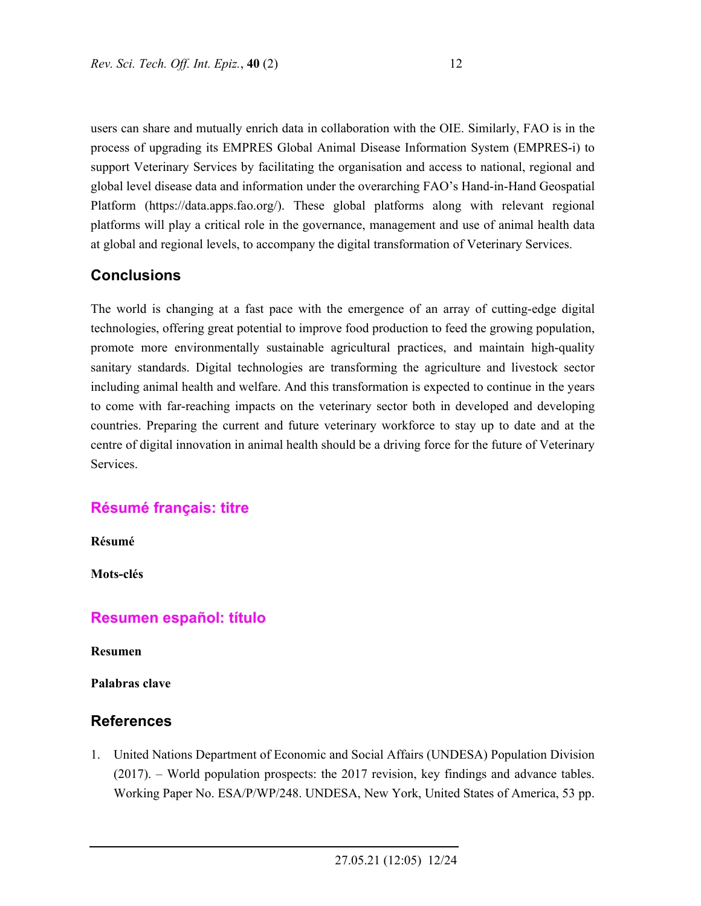users can share and mutually enrich data in collaboration with the OIE. Similarly, FAO is in the process of upgrading its EMPRES Global Animal Disease Information System (EMPRES-i) to support Veterinary Services by facilitating the organisation and access to national, regional and global level disease data and information under the overarching FAO's Hand-in-Hand Geospatial Platform (https://data.apps.fao.org/). These global platforms along with relevant regional platforms will play a critical role in the governance, management and use of animal health data at global and regional levels, to accompany the digital transformation of Veterinary Services.

## **Conclusions**

The world is changing at a fast pace with the emergence of an array of cutting-edge digital technologies, offering great potential to improve food production to feed the growing population, promote more environmentally sustainable agricultural practices, and maintain high-quality sanitary standards. Digital technologies are transforming the agriculture and livestock sector including animal health and welfare. And this transformation is expected to continue in the years to come with far-reaching impacts on the veterinary sector both in developed and developing countries. Preparing the current and future veterinary workforce to stay up to date and at the centre of digital innovation in animal health should be a driving force for the future of Veterinary Services.

## **Résumé français: titre**

**Résumé** 

**Mots-clés** 

## **Resumen español: título**

**Resumen** 

**Palabras clave** 

## **References**

1. United Nations Department of Economic and Social Affairs (UNDESA) Population Division (2017). – World population prospects: the 2017 revision, key findings and advance tables. Working Paper No. ESA/P/WP/248. UNDESA, New York, United States of America, 53 pp.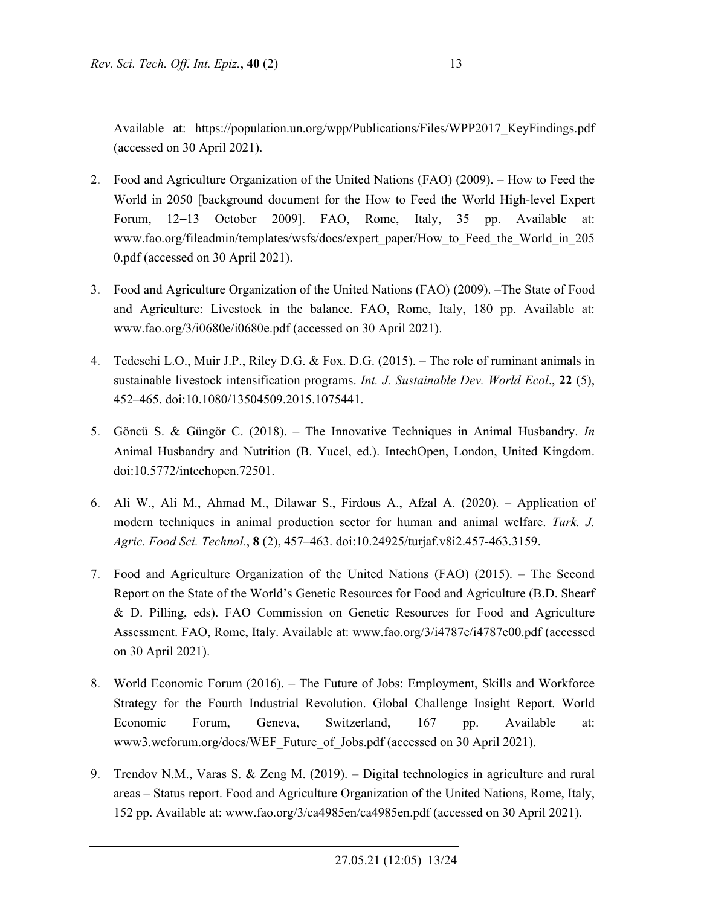Available at: https://population.un.org/wpp/Publications/Files/WPP2017\_KeyFindings.pdf (accessed on 30 April 2021).

- 2. Food and Agriculture Organization of the United Nations (FAO) (2009). How to Feed the World in 2050 [background document for the How to Feed the World High-level Expert Forum, 12–13 October 2009]. FAO, Rome, Italy, 35 pp. Available at: www.fao.org/fileadmin/templates/wsfs/docs/expert\_paper/How\_to\_Feed\_the\_World\_in\_205 0.pdf (accessed on 30 April 2021).
- 3. Food and Agriculture Organization of the United Nations (FAO) (2009). –The State of Food and Agriculture: Livestock in the balance. FAO, Rome, Italy, 180 pp. Available at: www.fao.org/3/i0680e/i0680e.pdf (accessed on 30 April 2021).
- 4. Tedeschi L.O., Muir J.P., Riley D.G. & Fox. D.G. (2015). The role of ruminant animals in sustainable livestock intensification programs. *Int. J. Sustainable Dev. World Ecol*., **22** (5), 452–465. doi:10.1080/13504509.2015.1075441.
- 5. Göncü S. & Güngör C. (2018). The Innovative Techniques in Animal Husbandry. *In*  Animal Husbandry and Nutrition (B. Yucel, ed.). IntechOpen, London, United Kingdom. doi:10.5772/intechopen.72501.
- 6. Ali W., Ali M., Ahmad M., Dilawar S., Firdous A., Afzal A. (2020). Application of modern techniques in animal production sector for human and animal welfare. *Turk. J. Agric. Food Sci. Technol.*, **8** (2), 457–463. doi:10.24925/turjaf.v8i2.457-463.3159.
- 7. Food and Agriculture Organization of the United Nations (FAO) (2015). The Second Report on the State of the World's Genetic Resources for Food and Agriculture (B.D. Shearf & D. Pilling, eds). FAO Commission on Genetic Resources for Food and Agriculture Assessment. FAO, Rome, Italy. Available at: www.fao.org/3/i4787e/i4787e00.pdf (accessed on 30 April 2021).
- 8. World Economic Forum (2016). The Future of Jobs: Employment, Skills and Workforce Strategy for the Fourth Industrial Revolution. Global Challenge Insight Report. World Economic Forum, Geneva, Switzerland, 167 pp. Available at: www3.weforum.org/docs/WEF\_Future\_of\_Jobs.pdf (accessed on 30 April 2021).
- 9. Trendov N.M., Varas S. & Zeng M. (2019). Digital technologies in agriculture and rural areas – Status report. Food and Agriculture Organization of the United Nations, Rome, Italy, 152 pp. Available at: www.fao.org/3/ca4985en/ca4985en.pdf (accessed on 30 April 2021).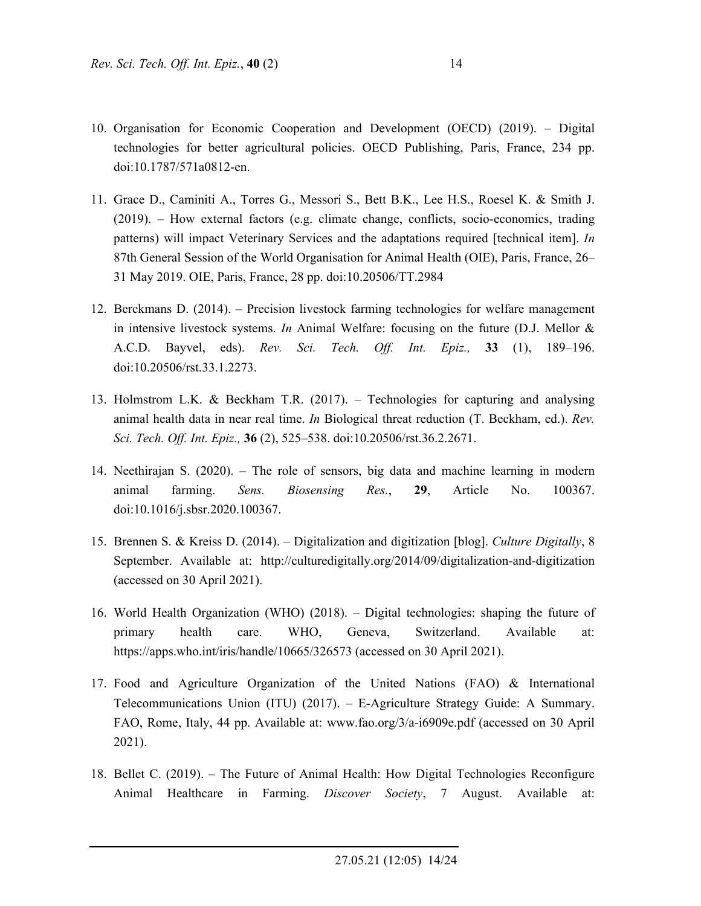- 10. Organisation for Economic Cooperation and Development (OECD) (2019). Digital technologies for better agricultural policies. OECD Publishing, Paris, France, 234 pp. doi:10.1787/571a0812-en.
- 11. Grace D., Caminiti A., Torres G., Messori S., Bett B.K., Lee H.S., Roesel K. & Smith J. (2019). – How external factors (e.g. climate change, conflicts, socio-economics, trading patterns) will impact Veterinary Services and the adaptations required [technical item]. *In* 87th General Session of the World Organisation for Animal Health (OIE), Paris, France, 26– 31 May 2019. OIE, Paris, France, 28 pp. doi:10.20506/TT.2984
- 12. Berckmans D. (2014). Precision livestock farming technologies for welfare management in intensive livestock systems. *In* Animal Welfare: focusing on the future (D.J. Mellor & A.C.D. Bayvel, eds). *Rev. Sci. Tech. Off. Int. Epiz.,* **33** (1), 189–196. doi:10.20506/rst.33.1.2273.
- 13. Holmstrom L.K. & Beckham T.R. (2017). Technologies for capturing and analysing animal health data in near real time. *In* Biological threat reduction (T. Beckham, ed.). *Rev. Sci. Tech. Off. Int. Epiz.,* **36** (2), 525–538. doi:10.20506/rst.36.2.2671.
- 14. Neethirajan S. (2020). The role of sensors, big data and machine learning in modern animal farming. *Sens. Biosensing Res.*, **29**, Article No. 100367. doi:10.1016/j.sbsr.2020.100367.
- 15. Brennen S. & Kreiss D. (2014). Digitalization and digitization [blog]. *Culture Digitally*, 8 September. Available at: http://culturedigitally.org/2014/09/digitalization-and-digitization (accessed on 30 April 2021).
- 16. World Health Organization (WHO) (2018). Digital technologies: shaping the future of primary health care. WHO, Geneva, Switzerland. Available at: https://apps.who.int/iris/handle/10665/326573 (accessed on 30 April 2021).
- 17. Food and Agriculture Organization of the United Nations (FAO) & International Telecommunications Union (ITU) (2017). – E-Agriculture Strategy Guide: A Summary. FAO, Rome, Italy, 44 pp. Available at: www.fao.org/3/a-i6909e.pdf (accessed on 30 April 2021).
- 18. Bellet C. (2019). The Future of Animal Health: How Digital Technologies Reconfigure Animal Healthcare in Farming. *Discover Society*, 7 August. Available at: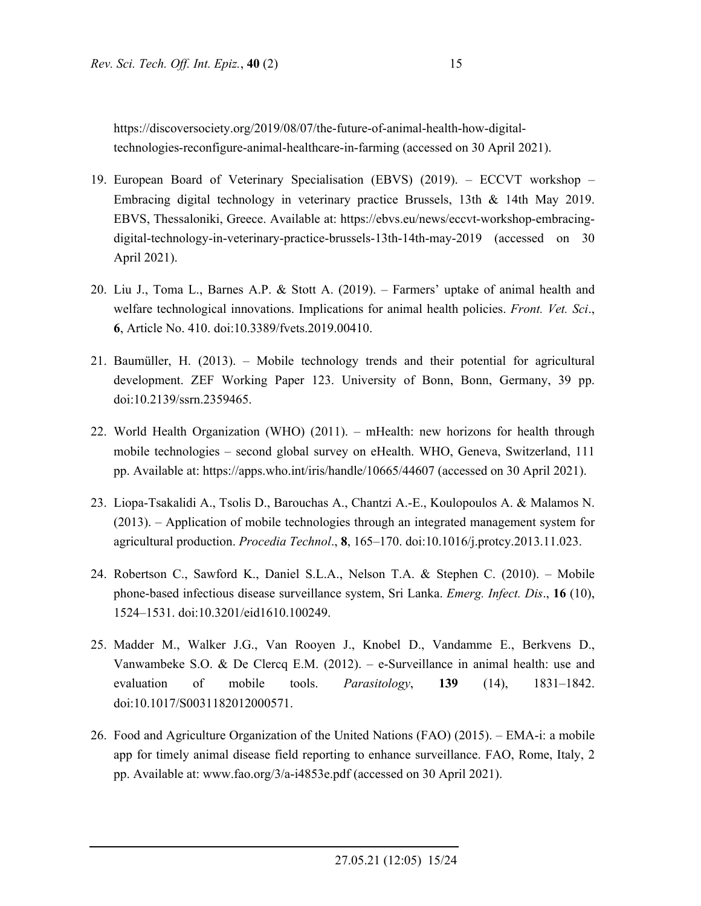https://discoversociety.org/2019/08/07/the-future-of-animal-health-how-digitaltechnologies-reconfigure-animal-healthcare-in-farming (accessed on 30 April 2021).

- 19. European Board of Veterinary Specialisation (EBVS) (2019). ECCVT workshop Embracing digital technology in veterinary practice Brussels, 13th & 14th May 2019. EBVS, Thessaloniki, Greece. Available at: https://ebvs.eu/news/eccvt-workshop-embracingdigital-technology-in-veterinary-practice-brussels-13th-14th-may-2019 (accessed on 30 April 2021).
- 20. Liu J., Toma L., Barnes A.P. & Stott A. (2019). Farmers' uptake of animal health and welfare technological innovations. Implications for animal health policies. *Front. Vet. Sci*., **6**, Article No. 410. doi:10.3389/fvets.2019.00410.
- 21. Baumüller, H. (2013). Mobile technology trends and their potential for agricultural development. ZEF Working Paper 123. University of Bonn, Bonn, Germany, 39 pp. doi:10.2139/ssrn.2359465.
- 22. World Health Organization (WHO) (2011). mHealth: new horizons for health through mobile technologies – second global survey on eHealth. WHO, Geneva, Switzerland, 111 pp. Available at: https://apps.who.int/iris/handle/10665/44607 (accessed on 30 April 2021).
- 23. Liopa-Tsakalidi A., Tsolis D., Barouchas A., Chantzi A.-E., Koulopoulos A. & Malamos N. (2013). – Application of mobile technologies through an integrated management system for agricultural production. *Procedia Technol*., **8**, 165–170. doi:10.1016/j.protcy.2013.11.023.
- 24. Robertson C., Sawford K., Daniel S.L.A., Nelson T.A. & Stephen C. (2010). Mobile phone-based infectious disease surveillance system, Sri Lanka. *Emerg. Infect. Dis*., **16** (10), 1524–1531. doi:10.3201/eid1610.100249.
- 25. Madder M., Walker J.G., Van Rooyen J., Knobel D., Vandamme E., Berkvens D., Vanwambeke S.O. & De Clercq E.M. (2012). – e-Surveillance in animal health: use and evaluation of mobile tools. *Parasitology*, **139** (14), 1831–1842. doi:10.1017/S0031182012000571.
- 26. Food and Agriculture Organization of the United Nations (FAO) (2015). EMA-i: a mobile app for timely animal disease field reporting to enhance surveillance. FAO, Rome, Italy, 2 pp. Available at: www.fao.org/3/a-i4853e.pdf (accessed on 30 April 2021).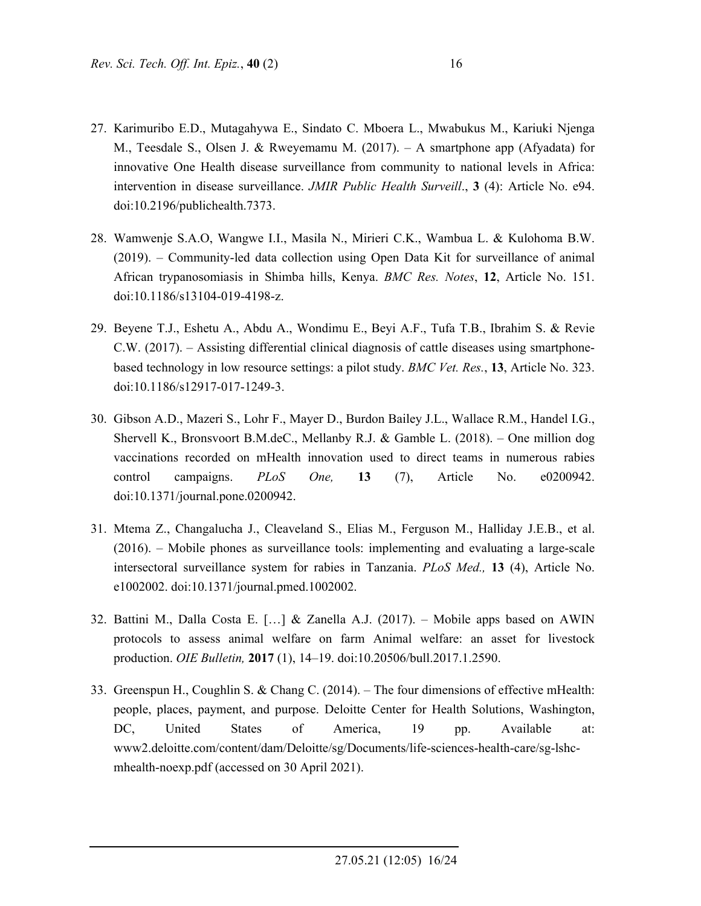- 27. Karimuribo E.D., Mutagahywa E., Sindato C. Mboera L., Mwabukus M., Kariuki Njenga M., Teesdale S., Olsen J. & Rweyemamu M. (2017). – A smartphone app (Afyadata) for innovative One Health disease surveillance from community to national levels in Africa: intervention in disease surveillance. *JMIR Public Health Surveill*., **3** (4): Article No. e94. doi:10.2196/publichealth.7373.
- 28. Wamwenje S.A.O, Wangwe I.I., Masila N., Mirieri C.K., Wambua L. & Kulohoma B.W. (2019). – Community-led data collection using Open Data Kit for surveillance of animal African trypanosomiasis in Shimba hills, Kenya. *BMC Res. Notes*, **12**, Article No. 151. doi:10.1186/s13104-019-4198-z.
- 29. Beyene T.J., Eshetu A., Abdu A., Wondimu E., Beyi A.F., Tufa T.B., Ibrahim S. & Revie C.W. (2017). – Assisting differential clinical diagnosis of cattle diseases using smartphonebased technology in low resource settings: a pilot study. *BMC Vet. Res.*, **13**, Article No. 323. doi:10.1186/s12917-017-1249-3.
- 30. Gibson A.D., Mazeri S., Lohr F., Mayer D., Burdon Bailey J.L., Wallace R.M., Handel I.G., Shervell K., Bronsvoort B.M.deC., Mellanby R.J. & Gamble L. (2018). – One million dog vaccinations recorded on mHealth innovation used to direct teams in numerous rabies control campaigns. *PLoS One,* **13** (7), Article No. e0200942. doi:10.1371/journal.pone.0200942.
- 31. Mtema Z., Changalucha J., Cleaveland S., Elias M., Ferguson M., Halliday J.E.B., et al. (2016). – Mobile phones as surveillance tools: implementing and evaluating a large-scale intersectoral surveillance system for rabies in Tanzania. *PLoS Med.,* **13** (4), Article No. e1002002. doi:10.1371/journal.pmed.1002002.
- 32. Battini M., Dalla Costa E. […] & Zanella A.J. (2017). Mobile apps based on AWIN protocols to assess animal welfare on farm Animal welfare: an asset for livestock production. *OIE Bulletin,* **2017** (1), 14–19. doi:10.20506/bull.2017.1.2590.
- 33. Greenspun H., Coughlin S. & Chang C. (2014). The four dimensions of effective mHealth: people, places, payment, and purpose. Deloitte Center for Health Solutions, Washington, DC, United States of America, 19 pp. Available at: www2.deloitte.com/content/dam/Deloitte/sg/Documents/life-sciences-health-care/sg-lshcmhealth-noexp.pdf (accessed on 30 April 2021).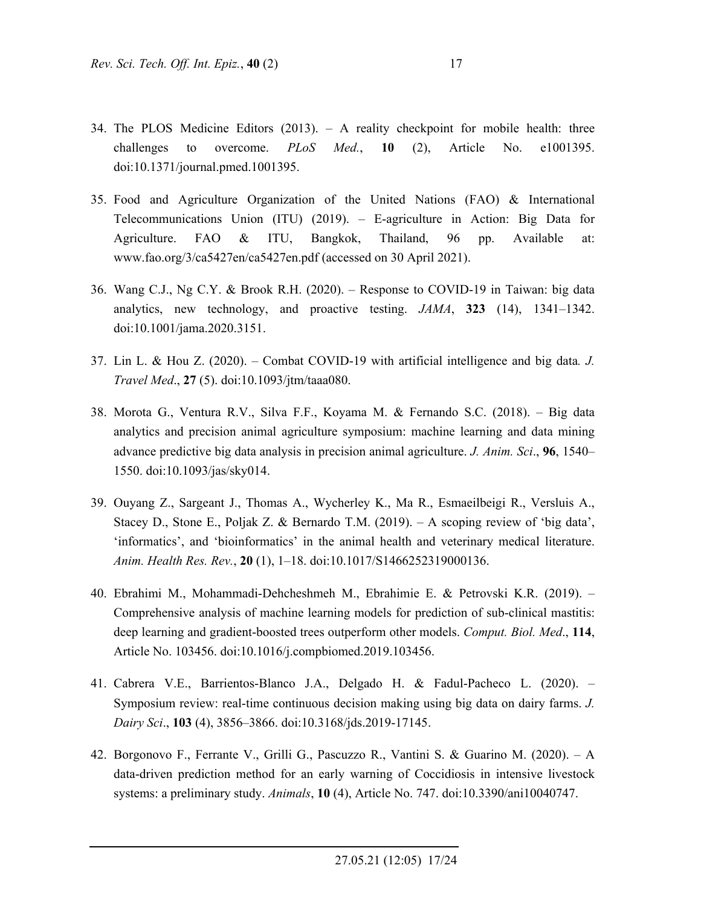- 34. The PLOS Medicine Editors (2013). A reality checkpoint for mobile health: three challenges to overcome. *PLoS Med.*, **10** (2), Article No. e1001395. doi:10.1371/journal.pmed.1001395.
- 35. Food and Agriculture Organization of the United Nations (FAO) & International Telecommunications Union (ITU) (2019). – E-agriculture in Action: Big Data for Agriculture. FAO & ITU, Bangkok, Thailand, 96 pp. Available at: www.fao.org/3/ca5427en/ca5427en.pdf (accessed on 30 April 2021).
- 36. Wang C.J., Ng C.Y. & Brook R.H. (2020). Response to COVID-19 in Taiwan: big data analytics, new technology, and proactive testing. *JAMA*, **323** (14), 1341–1342. doi:10.1001/jama.2020.3151.
- 37. Lin L. & Hou Z. (2020). Combat COVID-19 with artificial intelligence and big data*. J. Travel Med*., **27** (5). doi:10.1093/jtm/taaa080.
- 38. Morota G., Ventura R.V., Silva F.F., Koyama M. & Fernando S.C. (2018). Big data analytics and precision animal agriculture symposium: machine learning and data mining advance predictive big data analysis in precision animal agriculture. *J. Anim. Sci*., **96**, 1540– 1550. doi:10.1093/jas/sky014.
- 39. Ouyang Z., Sargeant J., Thomas A., Wycherley K., Ma R., Esmaeilbeigi R., Versluis A., Stacey D., Stone E., Poljak Z. & Bernardo T.M. (2019). – A scoping review of 'big data', 'informatics', and 'bioinformatics' in the animal health and veterinary medical literature. *Anim. Health Res. Rev.*, **20** (1), 1–18. doi:10.1017/S1466252319000136.
- 40. Ebrahimi M., Mohammadi-Dehcheshmeh M., Ebrahimie E. & Petrovski K.R. (2019). Comprehensive analysis of machine learning models for prediction of sub-clinical mastitis: deep learning and gradient-boosted trees outperform other models. *Comput. Biol. Med*., **114**, Article No. 103456. doi:10.1016/j.compbiomed.2019.103456.
- 41. Cabrera V.E., Barrientos-Blanco J.A., Delgado H. & Fadul-Pacheco L. (2020). Symposium review: real-time continuous decision making using big data on dairy farms. *J. Dairy Sci*., **103** (4), 3856–3866. doi:10.3168/jds.2019-17145.
- 42. Borgonovo F., Ferrante V., Grilli G., Pascuzzo R., Vantini S. & Guarino M. (2020). A data-driven prediction method for an early warning of Coccidiosis in intensive livestock systems: a preliminary study. *Animals*, **10** (4), Article No. 747. doi:10.3390/ani10040747.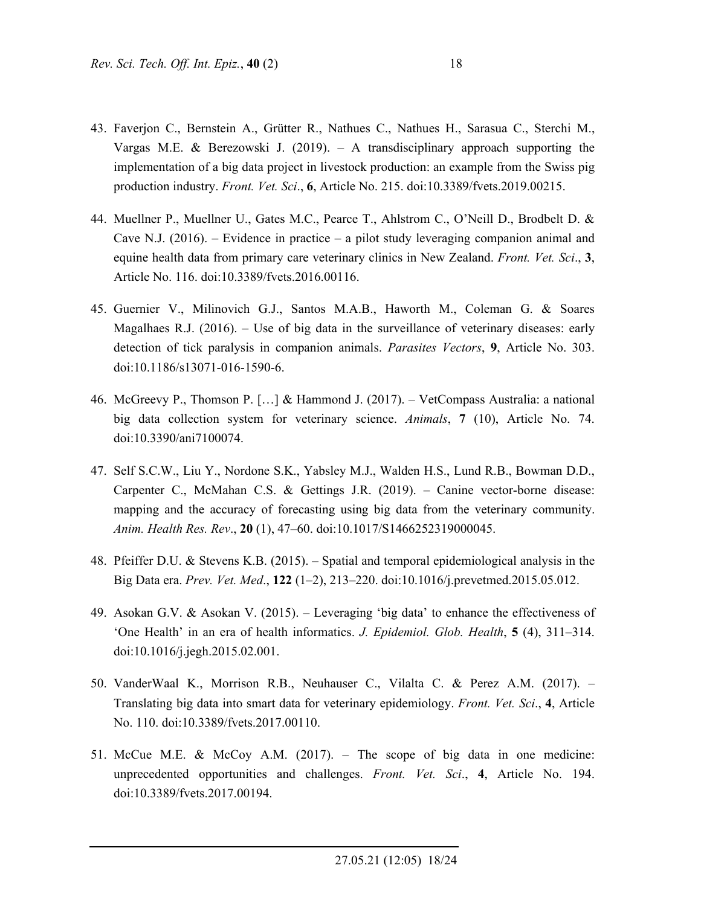- 43. Faverjon C., Bernstein A., Grütter R., Nathues C., Nathues H., Sarasua C., Sterchi M., Vargas M.E. & Berezowski J. (2019). – A transdisciplinary approach supporting the implementation of a big data project in livestock production: an example from the Swiss pig production industry. *Front. Vet. Sci*., **6**, Article No. 215. doi:10.3389/fvets.2019.00215.
- 44. Muellner P., Muellner U., Gates M.C., Pearce T., Ahlstrom C., O'Neill D., Brodbelt D. & Cave N.J.  $(2016)$ . – Evidence in practice – a pilot study leveraging companion animal and equine health data from primary care veterinary clinics in New Zealand. *Front. Vet. Sci*., **3**, Article No. 116. doi:10.3389/fvets.2016.00116.
- 45. Guernier V., Milinovich G.J., Santos M.A.B., Haworth M., Coleman G. & Soares Magalhaes R.J.  $(2016)$ . – Use of big data in the surveillance of veterinary diseases: early detection of tick paralysis in companion animals. *Parasites Vectors*, **9**, Article No. 303. doi:10.1186/s13071-016-1590-6.
- 46. McGreevy P., Thomson P. […] & Hammond J. (2017). VetCompass Australia: a national big data collection system for veterinary science. *Animals*, **7** (10), Article No. 74. doi:10.3390/ani7100074.
- 47. Self S.C.W., Liu Y., Nordone S.K., Yabsley M.J., Walden H.S., Lund R.B., Bowman D.D., Carpenter C., McMahan C.S. & Gettings J.R. (2019). – Canine vector-borne disease: mapping and the accuracy of forecasting using big data from the veterinary community. *Anim. Health Res. Rev*., **20** (1), 47–60. doi:10.1017/S1466252319000045.
- 48. Pfeiffer D.U. & Stevens K.B. (2015). Spatial and temporal epidemiological analysis in the Big Data era. *Prev. Vet. Med*., **122** (1–2), 213–220. doi:10.1016/j.prevetmed.2015.05.012.
- 49. Asokan G.V. & Asokan V. (2015). Leveraging 'big data' to enhance the effectiveness of 'One Health' in an era of health informatics. *J. Epidemiol. Glob. Health*, **5** (4), 311–314. doi:10.1016/j.jegh.2015.02.001.
- 50. VanderWaal K., Morrison R.B., Neuhauser C., Vilalta C. & Perez A.M. (2017). Translating big data into smart data for veterinary epidemiology. *Front. Vet. Sci*., **4**, Article No. 110. doi:10.3389/fvets.2017.00110.
- 51. McCue M.E. & McCoy A.M. (2017). The scope of big data in one medicine: unprecedented opportunities and challenges. *Front. Vet. Sci*., **4**, Article No. 194. doi:10.3389/fvets.2017.00194.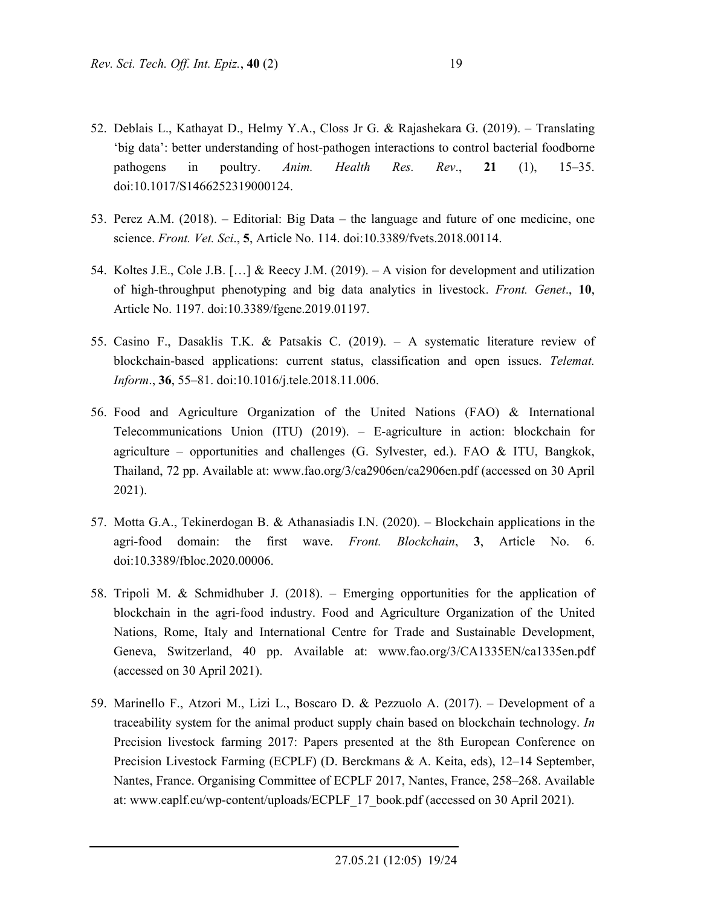- 52. Deblais L., Kathayat D., Helmy Y.A., Closs Jr G. & Rajashekara G. (2019). Translating 'big data': better understanding of host-pathogen interactions to control bacterial foodborne pathogens in poultry. *Anim. Health Res. Rev*., **21** (1), 15–35. doi:10.1017/S1466252319000124.
- 53. Perez A.M. (2018). Editorial: Big Data the language and future of one medicine, one science. *Front. Vet. Sci*., **5**, Article No. 114. doi:10.3389/fvets.2018.00114.
- 54. Koltes J.E., Cole J.B. […] & Reecy J.M. (2019). A vision for development and utilization of high-throughput phenotyping and big data analytics in livestock. *Front. Genet*., **10**, Article No. 1197. doi:10.3389/fgene.2019.01197.
- 55. Casino F., Dasaklis T.K. & Patsakis C. (2019). A systematic literature review of blockchain-based applications: current status, classification and open issues. *Telemat. Inform*., **36**, 55–81. doi:10.1016/j.tele.2018.11.006.
- 56. Food and Agriculture Organization of the United Nations (FAO) & International Telecommunications Union (ITU) (2019). – E-agriculture in action: blockchain for agriculture – opportunities and challenges (G. Sylvester, ed.). FAO & ITU, Bangkok, Thailand, 72 pp. Available at: www.fao.org/3/ca2906en/ca2906en.pdf (accessed on 30 April 2021).
- 57. Motta G.A., Tekinerdogan B. & Athanasiadis I.N. (2020). Blockchain applications in the agri-food domain: the first wave. *Front. Blockchain*, **3**, Article No. 6. doi:10.3389/fbloc.2020.00006.
- 58. Tripoli M. & Schmidhuber J. (2018). Emerging opportunities for the application of blockchain in the agri-food industry. Food and Agriculture Organization of the United Nations, Rome, Italy and International Centre for Trade and Sustainable Development, Geneva, Switzerland, 40 pp. Available at: www.fao.org/3/CA1335EN/ca1335en.pdf (accessed on 30 April 2021).
- 59. Marinello F., Atzori M., Lizi L., Boscaro D. & Pezzuolo A. (2017). Development of a traceability system for the animal product supply chain based on blockchain technology. *In* Precision livestock farming 2017: Papers presented at the 8th European Conference on Precision Livestock Farming (ECPLF) (D. Berckmans & A. Keita, eds), 12–14 September, Nantes, France. Organising Committee of ECPLF 2017, Nantes, France, 258–268. Available at: www.eaplf.eu/wp-content/uploads/ECPLF\_17\_book.pdf (accessed on 30 April 2021).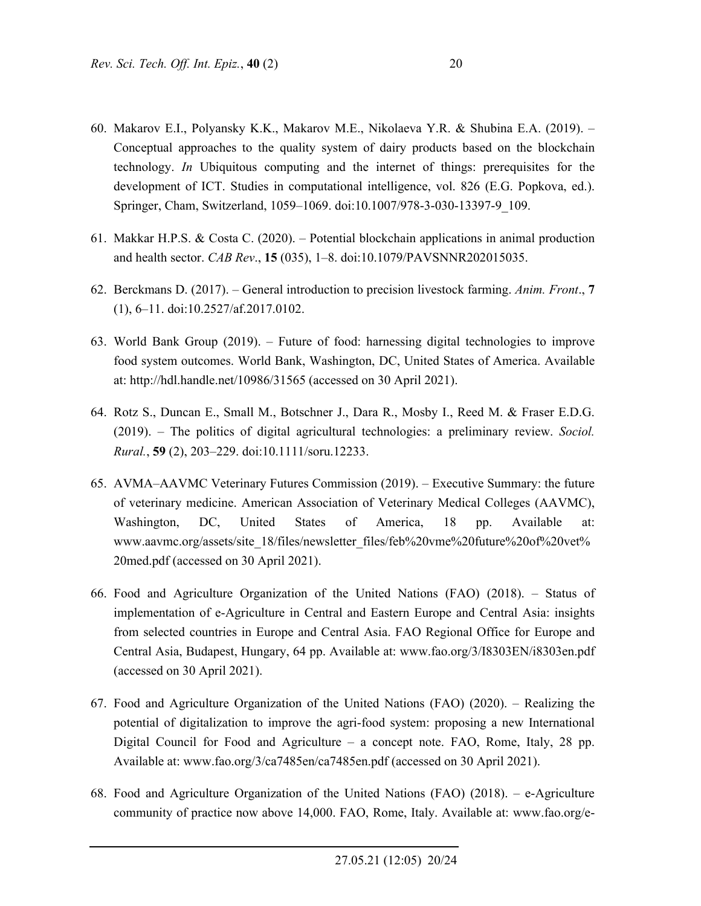- 60. Makarov E.I., Polyansky K.K., Makarov M.E., Nikolaeva Y.R. & Shubina E.A. (2019). Conceptual approaches to the quality system of dairy products based on the blockchain technology. *In* Ubiquitous computing and the internet of things: prerequisites for the development of ICT. Studies in computational intelligence, vol. 826 (E.G. Popkova, ed.). Springer, Cham, Switzerland, 1059–1069. doi:10.1007/978-3-030-13397-9\_109.
- 61. Makkar H.P.S. & Costa C. (2020). Potential blockchain applications in animal production and health sector. *CAB Rev*., **15** (035), 1–8. doi:10.1079/PAVSNNR202015035.
- 62. Berckmans D. (2017). General introduction to precision livestock farming. *Anim. Front*., **7** (1), 6–11. doi:10.2527/af.2017.0102.
- 63. World Bank Group (2019). Future of food: harnessing digital technologies to improve food system outcomes. World Bank, Washington, DC, United States of America. Available at: http://hdl.handle.net/10986/31565 (accessed on 30 April 2021).
- 64. Rotz S., Duncan E., Small M., Botschner J., Dara R., Mosby I., Reed M. & Fraser E.D.G. (2019). – The politics of digital agricultural technologies: a preliminary review. *Sociol. Rural.*, **59** (2), 203–229. doi:10.1111/soru.12233.
- 65. AVMA–AAVMC Veterinary Futures Commission (2019). Executive Summary: the future of veterinary medicine. American Association of Veterinary Medical Colleges (AAVMC), Washington, DC, United States of America, 18 pp. Available at: www.aavmc.org/assets/site\_18/files/newsletter\_files/feb%20vme%20future%20of%20vet% 20med.pdf (accessed on 30 April 2021).
- 66. Food and Agriculture Organization of the United Nations (FAO) (2018). Status of implementation of e-Agriculture in Central and Eastern Europe and Central Asia: insights from selected countries in Europe and Central Asia. FAO Regional Office for Europe and Central Asia, Budapest, Hungary, 64 pp. Available at: www.fao.org/3/I8303EN/i8303en.pdf (accessed on 30 April 2021).
- 67. Food and Agriculture Organization of the United Nations (FAO) (2020). Realizing the potential of digitalization to improve the agri-food system: proposing a new International Digital Council for Food and Agriculture – a concept note. FAO, Rome, Italy, 28 pp. Available at: www.fao.org/3/ca7485en/ca7485en.pdf (accessed on 30 April 2021).
- 68. Food and Agriculture Organization of the United Nations (FAO) (2018). e-Agriculture community of practice now above 14,000. FAO, Rome, Italy. Available at: www.fao.org/e-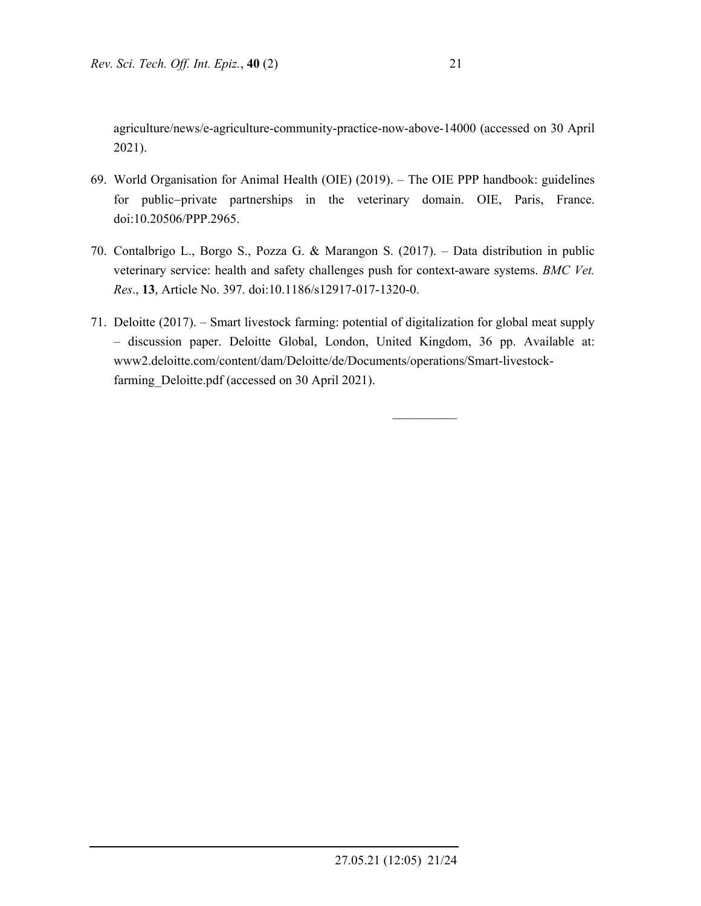agriculture/news/e-agriculture-community-practice-now-above-14000 (accessed on 30 April 2021).

- 69. World Organisation for Animal Health (OIE) (2019). The OIE PPP handbook: guidelines for public-private partnerships in the veterinary domain. OIE, Paris, France. doi:10.20506/PPP.2965.
- 70. Contalbrigo L., Borgo S., Pozza G. & Marangon S. (2017). Data distribution in public veterinary service: health and safety challenges push for context-aware systems. *BMC Vet. Res*., **13**, Article No. 397. doi:10.1186/s12917-017-1320-0.
- 71. Deloitte (2017). Smart livestock farming: potential of digitalization for global meat supply – discussion paper. Deloitte Global, London, United Kingdom, 36 pp. Available at: www2.deloitte.com/content/dam/Deloitte/de/Documents/operations/Smart-livestockfarming Deloitte.pdf (accessed on 30 April 2021).

 $\frac{1}{2}$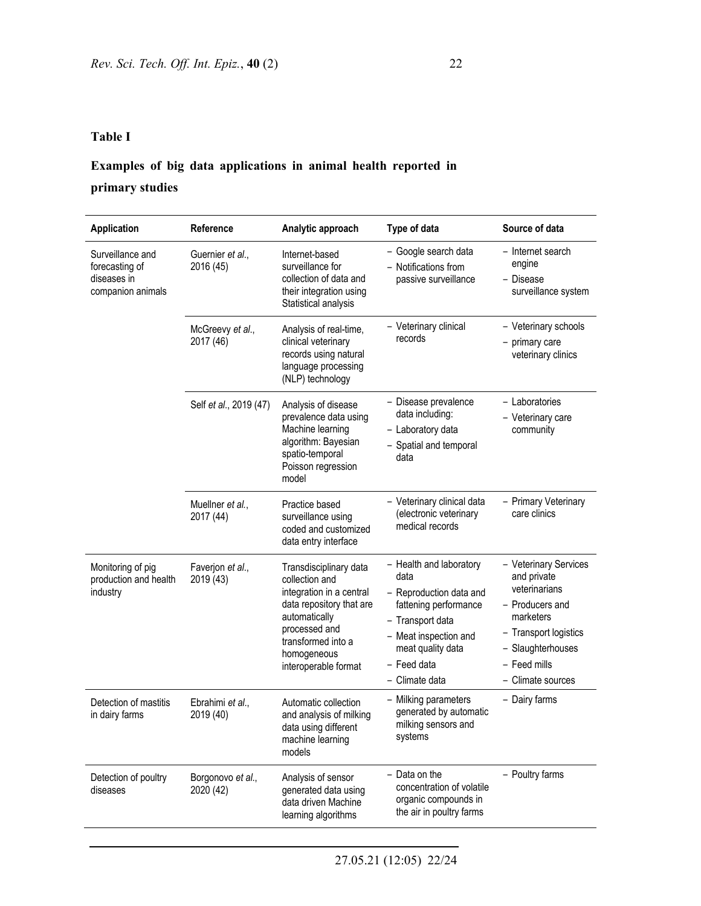# **Examples of big data applications in animal health reported in**

## **primary studies**

| Application                                                            | Reference                      | Analytic approach                                                                                                                                                                               | Type of data                                                                                                                                                                           | Source of data                                                                                                                                                           |
|------------------------------------------------------------------------|--------------------------------|-------------------------------------------------------------------------------------------------------------------------------------------------------------------------------------------------|----------------------------------------------------------------------------------------------------------------------------------------------------------------------------------------|--------------------------------------------------------------------------------------------------------------------------------------------------------------------------|
| Surveillance and<br>forecasting of<br>diseases in<br>companion animals | Guernier et al.,<br>2016 (45)  | Internet-based<br>surveillance for<br>collection of data and<br>their integration using<br>Statistical analysis                                                                                 | - Google search data<br>- Notifications from<br>passive surveillance                                                                                                                   | - Internet search<br>engine<br>- Disease<br>surveillance system                                                                                                          |
|                                                                        | McGreevy et al.,<br>2017 (46)  | Analysis of real-time,<br>clinical veterinary<br>records using natural<br>language processing<br>(NLP) technology                                                                               | - Veterinary clinical<br>records                                                                                                                                                       | - Veterinary schools<br>- primary care<br>veterinary clinics                                                                                                             |
|                                                                        | Self et al., 2019 (47)         | Analysis of disease<br>prevalence data using<br>Machine learning<br>algorithm: Bayesian<br>spatio-temporal<br>Poisson regression<br>model                                                       | - Disease prevalence<br>data including:<br>- Laboratory data<br>- Spatial and temporal<br>data                                                                                         | - Laboratories<br>- Veterinary care<br>community                                                                                                                         |
|                                                                        | Muellner et al.,<br>2017 (44)  | Practice based<br>surveillance using<br>coded and customized<br>data entry interface                                                                                                            | - Veterinary clinical data<br>(electronic veterinary<br>medical records                                                                                                                | - Primary Veterinary<br>care clinics                                                                                                                                     |
| Monitoring of pig<br>production and health<br>industry                 | Faverjon et al.,<br>2019 (43)  | Transdisciplinary data<br>collection and<br>integration in a central<br>data repository that are<br>automatically<br>processed and<br>transformed into a<br>homogeneous<br>interoperable format | - Health and laboratory<br>data<br>- Reproduction data and<br>fattening performance<br>- Transport data<br>- Meat inspection and<br>meat quality data<br>- Feed data<br>- Climate data | - Veterinary Services<br>and private<br>veterinarians<br>- Producers and<br>marketers<br>- Transport logistics<br>- Slaughterhouses<br>- Feed mills<br>- Climate sources |
| Detection of mastitis<br>in dairy farms                                | Ebrahimi et al.,<br>2019 (40)  | Automatic collection<br>and analysis of milking<br>data using different<br>machine learning<br>models                                                                                           | - Milking parameters<br>generated by automatic<br>milking sensors and<br>systems                                                                                                       | - Dairy farms                                                                                                                                                            |
| Detection of poultry<br>diseases                                       | Borgonovo et al.,<br>2020 (42) | Analysis of sensor<br>generated data using<br>data driven Machine<br>learning algorithms                                                                                                        | - Data on the<br>concentration of volatile<br>organic compounds in<br>the air in poultry farms                                                                                         | - Poultry farms                                                                                                                                                          |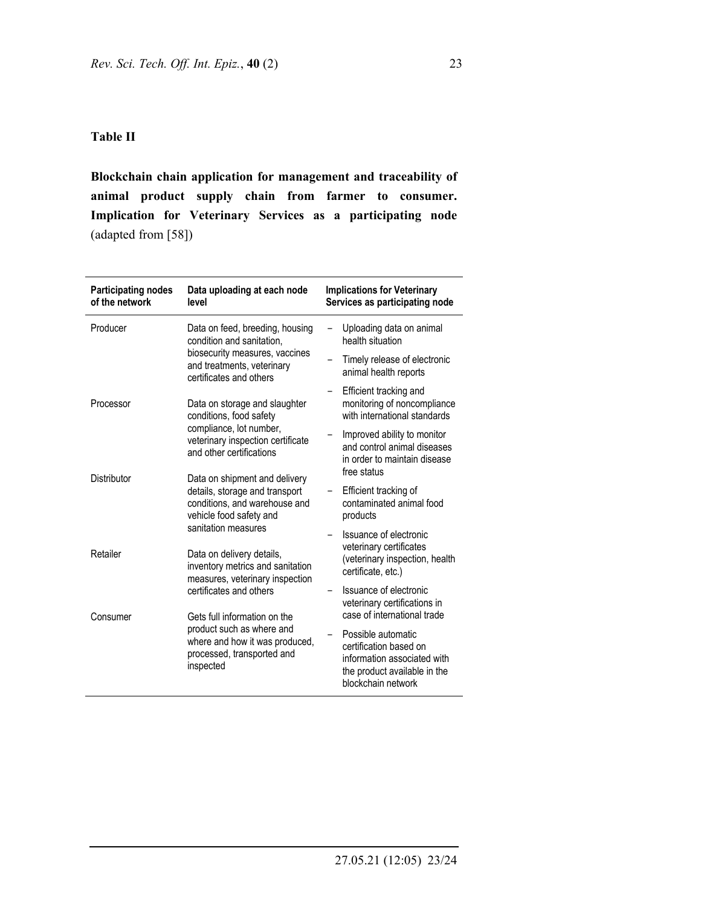#### **Table II**

**Blockchain chain application for management and traceability of animal product supply chain from farmer to consumer. Implication for Veterinary Services as a participating node** (adapted from [58])

| <b>Participating nodes</b><br>of the network | Data uploading at each node<br>level                                                                                        | <b>Implications for Veterinary</b><br>Services as participating node                                                              |  |
|----------------------------------------------|-----------------------------------------------------------------------------------------------------------------------------|-----------------------------------------------------------------------------------------------------------------------------------|--|
| Producer                                     | Data on feed, breeding, housing<br>condition and sanitation.                                                                | Uploading data on animal<br>health situation                                                                                      |  |
|                                              | biosecurity measures, vaccines<br>and treatments, veterinary<br>certificates and others                                     | Timely release of electronic<br>animal health reports                                                                             |  |
| Processor                                    | Data on storage and slaughter<br>conditions, food safety                                                                    | Efficient tracking and<br>-<br>monitoring of noncompliance<br>with international standards                                        |  |
|                                              | compliance, lot number,<br>veterinary inspection certificate<br>and other certifications                                    | Improved ability to monitor<br>and control animal diseases<br>in order to maintain disease<br>free status                         |  |
| <b>Distributor</b>                           | Data on shipment and delivery<br>details, storage and transport<br>conditions, and warehouse and<br>vehicle food safety and | Efficient tracking of<br>contaminated animal food<br>products                                                                     |  |
| Retailer                                     | sanitation measures<br>Data on delivery details,<br>inventory metrics and sanitation<br>measures, veterinary inspection     | Issuance of electronic<br>$\qquad \qquad -$<br>veterinary certificates<br>(veterinary inspection, health<br>certificate, etc.)    |  |
| Consumer                                     | certificates and others<br>Gets full information on the                                                                     | Issuance of electronic<br>veterinary certifications in<br>case of international trade                                             |  |
|                                              | product such as where and<br>where and how it was produced,<br>processed, transported and<br>inspected                      | Possible automatic<br>certification based on<br>information associated with<br>the product available in the<br>blockchain network |  |